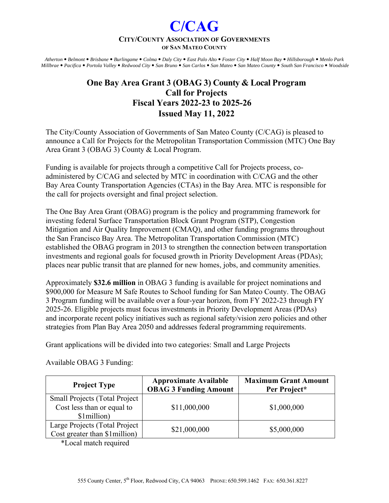## **CITY/COUNTY ASSOCIATION OF GOVERNMENTS OF SAN MATEO COUNTY**

**C/CAG** 

*Atherton Belmont Brisbane Burlingame Colma Daly City East Palo Alto Foster City Half Moon Bay Hillsborough Menlo Park Millbrae Pacifica Portola Valley Redwood City San Bruno San Carlos San Mateo San Mateo County South San Francisco Woodside* 

# **One Bay Area Grant 3 (OBAG 3) County & Local Program Call for Projects Fiscal Years 2022-23 to 2025-26 Issued May 11, 2022**

The City/County Association of Governments of San Mateo County (C/CAG) is pleased to announce a Call for Projects for the Metropolitan Transportation Commission (MTC) One Bay Area Grant 3 (OBAG 3) County & Local Program.

Funding is available for projects through a competitive Call for Projects process, coadministered by C/CAG and selected by MTC in coordination with C/CAG and the other Bay Area County Transportation Agencies (CTAs) in the Bay Area. MTC is responsible for the call for projects oversight and final project selection.

The One Bay Area Grant (OBAG) program is the policy and programming framework for investing federal Surface Transportation Block Grant Program (STP), Congestion Mitigation and Air Quality Improvement (CMAQ), and other funding programs throughout the San Francisco Bay Area. The Metropolitan Transportation Commission (MTC) established the OBAG program in 2013 to strengthen the connection between transportation investments and regional goals for focused growth in Priority Development Areas (PDAs); places near public transit that are planned for new homes, jobs, and community amenities.

Approximately **\$32.6 million** in OBAG 3 funding is available for project nominations and \$900,000 for Measure M Safe Routes to School funding for San Mateo County. The OBAG 3 Program funding will be available over a four-year horizon, from FY 2022-23 through FY 2025-26. Eligible projects must focus investments in Priority Development Areas (PDAs) and incorporate recent policy initiatives such as regional safety/vision zero policies and other strategies from Plan Bay Area 2050 and addresses federal programming requirements.

Grant applications will be divided into two categories: Small and Large Projects

| <b>Project Type</b>                                                               | <b>Approximate Available</b><br><b>OBAG 3 Funding Amount</b> | <b>Maximum Grant Amount</b><br>Per Project* |
|-----------------------------------------------------------------------------------|--------------------------------------------------------------|---------------------------------------------|
| <b>Small Projects (Total Project</b><br>Cost less than or equal to<br>\$1million) | \$11,000,000                                                 | \$1,000,000                                 |
| Large Projects (Total Project<br>Cost greater than \$1 million)                   | \$21,000,000                                                 | \$5,000,000                                 |

Available OBAG 3 Funding:

\*Local match required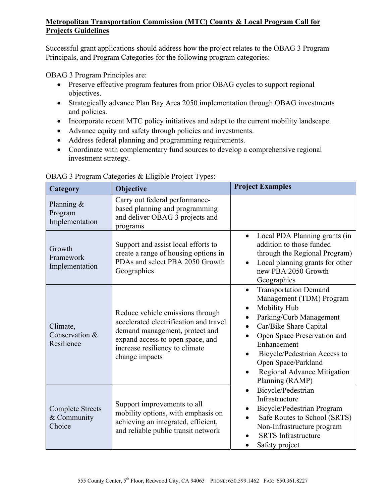## **Metropolitan Transportation Commission (MTC) County & Local Program Call for Projects Guidelines**

Successful grant applications should address how the project relates to the OBAG 3 Program Principals, and Program Categories for the following program categories:

OBAG 3 Program Principles are:

- Preserve effective program features from prior OBAG cycles to support regional objectives.
- Strategically advance Plan Bay Area 2050 implementation through OBAG investments and policies.
- Incorporate recent MTC policy initiatives and adapt to the current mobility landscape.
- Advance equity and safety through policies and investments.
- Address federal planning and programming requirements.
- Coordinate with complementary fund sources to develop a comprehensive regional investment strategy.

| Category                                         | Objective                                                                                                                                                                                            | <b>Project Examples</b>                                                                                                                                                                                                                                                                                        |
|--------------------------------------------------|------------------------------------------------------------------------------------------------------------------------------------------------------------------------------------------------------|----------------------------------------------------------------------------------------------------------------------------------------------------------------------------------------------------------------------------------------------------------------------------------------------------------------|
| Planning &<br>Program<br>Implementation          | Carry out federal performance-<br>based planning and programming<br>and deliver OBAG 3 projects and<br>programs                                                                                      |                                                                                                                                                                                                                                                                                                                |
| Growth<br>Framework<br>Implementation            | Support and assist local efforts to<br>create a range of housing options in<br>PDAs and select PBA 2050 Growth<br>Geographies                                                                        | Local PDA Planning grants (in<br>$\bullet$<br>addition to those funded<br>through the Regional Program)<br>Local planning grants for other<br>$\bullet$<br>new PBA 2050 Growth<br>Geographies                                                                                                                  |
| Climate,<br>Conservation &<br>Resilience         | Reduce vehicle emissions through<br>accelerated electrification and travel<br>demand management, protect and<br>expand access to open space, and<br>increase resiliency to climate<br>change impacts | <b>Transportation Demand</b><br>$\bullet$<br>Management (TDM) Program<br>Mobility Hub<br>Parking/Curb Management<br>Car/Bike Share Capital<br>$\bullet$<br>Open Space Preservation and<br>Enhancement<br>Bicycle/Pedestrian Access to<br>Open Space/Parkland<br>Regional Advance Mitigation<br>Planning (RAMP) |
| <b>Complete Streets</b><br>& Community<br>Choice | Support improvements to all<br>mobility options, with emphasis on<br>achieving an integrated, efficient,<br>and reliable public transit network                                                      | Bicycle/Pedestrian<br>$\bullet$<br>Infrastructure<br>Bicycle/Pedestrian Program<br>Safe Routes to School (SRTS)<br>$\bullet$<br>Non-Infrastructure program<br><b>SRTS</b> Infrastructure<br>Safety project                                                                                                     |

| OBAG 3 Program Categories & Eligible Project Types: |  |  |
|-----------------------------------------------------|--|--|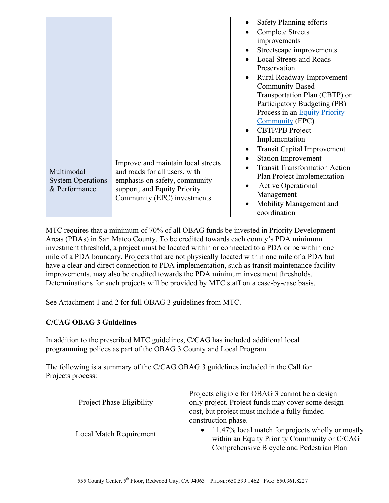|                                                         |                                                                                                                                                                     | Safety Planning efforts<br><b>Complete Streets</b><br>improvements<br>Streetscape improvements<br>٠<br><b>Local Streets and Roads</b><br>Preservation<br>Rural Roadway Improvement<br>$\bullet$<br>Community-Based<br>Transportation Plan (CBTP) or<br>Participatory Budgeting (PB)<br>Process in an Equity Priority<br><b>Community</b> (EPC)<br><b>CBTP/PB</b> Project<br>$\bullet$<br>Implementation |
|---------------------------------------------------------|---------------------------------------------------------------------------------------------------------------------------------------------------------------------|---------------------------------------------------------------------------------------------------------------------------------------------------------------------------------------------------------------------------------------------------------------------------------------------------------------------------------------------------------------------------------------------------------|
| Multimodal<br><b>System Operations</b><br>& Performance | Improve and maintain local streets<br>and roads for all users, with<br>emphasis on safety, community<br>support, and Equity Priority<br>Community (EPC) investments | <b>Transit Capital Improvement</b><br>٠<br><b>Station Improvement</b><br><b>Transit Transformation Action</b><br>Plan Project Implementation<br><b>Active Operational</b><br>Management<br>Mobility Management and<br>$\bullet$<br>coordination                                                                                                                                                         |

MTC requires that a minimum of 70% of all OBAG funds be invested in Priority Development Areas (PDAs) in San Mateo County. To be credited towards each county's PDA minimum investment threshold, a project must be located within or connected to a PDA or be within one mile of a PDA boundary. Projects that are not physically located within one mile of a PDA but have a clear and direct connection to PDA implementation, such as transit maintenance facility improvements, may also be credited towards the PDA minimum investment thresholds. Determinations for such projects will be provided by MTC staff on a case-by-case basis.

See Attachment 1 and 2 for full OBAG 3 guidelines from MTC.

## **C/CAG OBAG 3 Guidelines**

In addition to the prescribed MTC guidelines, C/CAG has included additional local programming polices as part of the OBAG 3 County and Local Program.

The following is a summary of the C/CAG OBAG 3 guidelines included in the Call for Projects process:

| <b>Project Phase Eligibility</b> | Projects eligible for OBAG 3 cannot be a design<br>only project. Project funds may cover some design<br>cost, but project must include a fully funded<br>construction phase. |
|----------------------------------|------------------------------------------------------------------------------------------------------------------------------------------------------------------------------|
| Local Match Requirement          | $\bullet$ 11.47% local match for projects wholly or mostly<br>within an Equity Priority Community or C/CAG<br>Comprehensive Bicycle and Pedestrian Plan                      |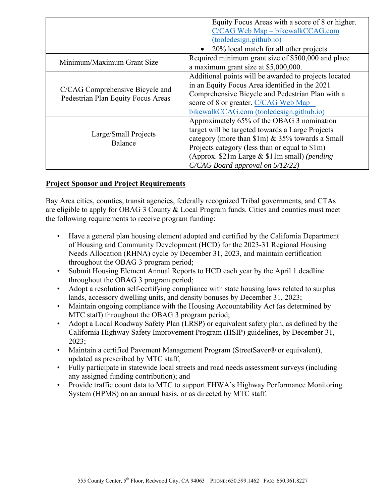|                                                                       | Equity Focus Areas with a score of 8 or higher.       |
|-----------------------------------------------------------------------|-------------------------------------------------------|
|                                                                       | C/CAG Web Map - bikewalkCCAG.com                      |
|                                                                       | (tooledesign.github.io)                               |
|                                                                       | 20% local match for all other projects                |
| Minimum/Maximum Grant Size                                            | Required minimum grant size of \$500,000 and place    |
|                                                                       | a maximum grant size at \$5,000,000.                  |
|                                                                       | Additional points will be awarded to projects located |
| C/CAG Comprehensive Bicycle and<br>Pedestrian Plan Equity Focus Areas | in an Equity Focus Area identified in the 2021        |
|                                                                       | Comprehensive Bicycle and Pedestrian Plan with a      |
|                                                                       | score of 8 or greater. C/CAG Web Map -                |
|                                                                       | bikewalkCCAG.com (tooledesign.github.io)              |
|                                                                       | Approximately 65% of the OBAG 3 nomination            |
| Large/Small Projects<br>Balance                                       | target will be targeted towards a Large Projects      |
|                                                                       | category (more than $\{1m\}$ & 35% towards a Small    |
|                                                                       | Projects category (less than or equal to \$1m)        |
|                                                                       | (Approx. \$21m Large & \$11m small) (pending          |
|                                                                       | C/CAG Board approval on 5/12/22)                      |

## **Project Sponsor and Project Requirements**

Bay Area cities, counties, transit agencies, federally recognized Tribal governments, and CTAs are eligible to apply for OBAG 3 County & Local Program funds. Cities and counties must meet the following requirements to receive program funding:

- Have a general plan housing element adopted and certified by the California Department of Housing and Community Development (HCD) for the 2023-31 Regional Housing Needs Allocation (RHNA) cycle by December 31, 2023, and maintain certification throughout the OBAG 3 program period;
- Submit Housing Element Annual Reports to HCD each year by the April 1 deadline throughout the OBAG 3 program period;
- Adopt a resolution self-certifying compliance with state housing laws related to surplus lands, accessory dwelling units, and density bonuses by December 31, 2023;
- Maintain ongoing compliance with the Housing Accountability Act (as determined by MTC staff) throughout the OBAG 3 program period;
- Adopt a Local Roadway Safety Plan (LRSP) or equivalent safety plan, as defined by the California Highway Safety Improvement Program (HSIP) guidelines, by December 31, 2023;
- Maintain a certified Pavement Management Program (StreetSaver® or equivalent), updated as prescribed by MTC staff;
- Fully participate in statewide local streets and road needs assessment surveys (including any assigned funding contribution); and
- Provide traffic count data to MTC to support FHWA's Highway Performance Monitoring System (HPMS) on an annual basis, or as directed by MTC staff.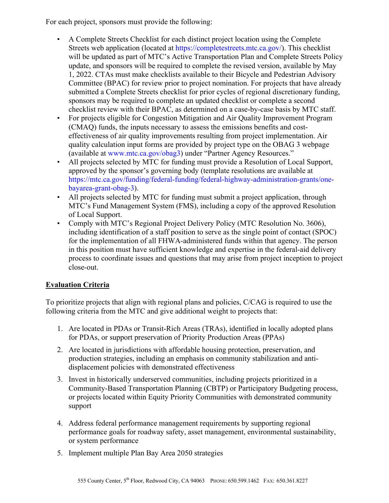For each project, sponsors must provide the following:

- A Complete Streets Checklist for each distinct project location using the Complete Streets web application (located at https://completestreets.mtc.ca.gov/). This checklist will be updated as part of MTC's Active Transportation Plan and Complete Streets Policy update, and sponsors will be required to complete the revised version, available by May 1, 2022. CTAs must make checklists available to their Bicycle and Pedestrian Advisory Committee (BPAC) for review prior to project nomination. For projects that have already submitted a Complete Streets checklist for prior cycles of regional discretionary funding, sponsors may be required to complete an updated checklist or complete a second checklist review with their BPAC, as determined on a case-by-case basis by MTC staff.
- For projects eligible for Congestion Mitigation and Air Quality Improvement Program (CMAQ) funds, the inputs necessary to assess the emissions benefits and costeffectiveness of air quality improvements resulting from project implementation. Air quality calculation input forms are provided by project type on the OBAG 3 webpage (available at www.mtc.ca.gov/obag3) under "Partner Agency Resources."
- All projects selected by MTC for funding must provide a Resolution of Local Support, approved by the sponsor's governing body (template resolutions are available at https://mtc.ca.gov/funding/federal-funding/federal-highway-administration-grants/onebayarea-grant-obag-3).
- All projects selected by MTC for funding must submit a project application, through MTC's Fund Management System (FMS), including a copy of the approved Resolution of Local Support.
- Comply with MTC's Regional Project Delivery Policy (MTC Resolution No. 3606), including identification of a staff position to serve as the single point of contact (SPOC) for the implementation of all FHWA-administered funds within that agency. The person in this position must have sufficient knowledge and expertise in the federal-aid delivery process to coordinate issues and questions that may arise from project inception to project close-out.

## **Evaluation Criteria**

To prioritize projects that align with regional plans and policies, C/CAG is required to use the following criteria from the MTC and give additional weight to projects that:

- 1. Are located in PDAs or Transit-Rich Areas (TRAs), identified in locally adopted plans for PDAs, or support preservation of Priority Production Areas (PPAs)
- 2. Are located in jurisdictions with affordable housing protection, preservation, and production strategies, including an emphasis on community stabilization and antidisplacement policies with demonstrated effectiveness
- 3. Invest in historically underserved communities, including projects prioritized in a Community-Based Transportation Planning (CBTP) or Participatory Budgeting process, or projects located within Equity Priority Communities with demonstrated community support
- 4. Address federal performance management requirements by supporting regional performance goals for roadway safety, asset management, environmental sustainability, or system performance
- 5. Implement multiple Plan Bay Area 2050 strategies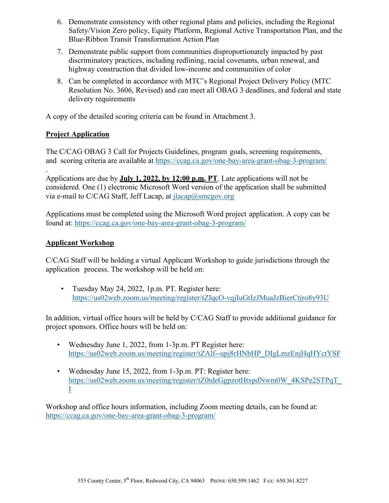- 6. Demonstrate consistency with other regional plans and policies, including the Regional Safety/Vision Zero policy, Equity Platform, Regional Active Transportation Plan, and the Blue-Ribbon Transit Transformation Action Plan
- 7. Demonstrate public support from communities disproportionately impacted by past discriminatory practices, including redlining, racial covenants, urban renewal, and highway construction that divided low-income and communities of color
- 8. Can be completed in accordance with MTC's Regional Project Delivery Policy (MTC Resolution No. 3606, Revised) and can meet all OBAG 3 deadlines, and federal and state delivery requirements

A copy of the detailed scoring criteria can be found in Attachment 3.

## **Project Application**

The C/CAG OBAG 3 Call for Projects Guidelines, program goals, screening requirements, and scoring criteria are available at https://ccag.ca.gov/one-bay-area-grant-obag-3-program/ .

Applications are due by **July 1, 2022, by 12:00 p.m. PT**. Late applications will not be considered. One (1) electronic Microsoft Word version of the application shall be submitted via e-mail to C/CAG Staff, Jeff Lacap, at  $i$ lacap $@s$ mcgov.org

Applications must be completed using the Microsoft Word project application. A copy can be found at: https://ccag.ca.gov/one-bay-area-grant-obag-3-program/

## **Applicant Workshop**

C/CAG Staff will be holding a virtual Applicant Workshop to guide jurisdictions through the application process. The workshop will be held on:

• Tuesday May 24, 2022, 1p.m. PT. Register here: https://us02web.zoom.us/meeting/register/tZIqcO-vqjIuGtIzJMuaJzBierCtjro8y93U

In addition, virtual office hours will be held by C/CAG Staff to provide additional guidance for project sponsors. Office hours will be held on:

- Wednesday June 1, 2022, from 1-3p.m. PT Register here: https://us02web.zoom.us/meeting/register/tZAlf--upj8rHNbHP\_DIgLmzEnjHqHYctYSF
- Wednesday June 15, 2022, from 1-3p.m. PT: Register here: https://us02web.zoom.us/meeting/register/tZ0tdeGgpzotHtxpdNwm0W\_4KSPe2STPqT\_ I

Workshop and office hours information, including Zoom meeting details, can be found at: https://ccag.ca.gov/one-bay-area-grant-obag-3-program/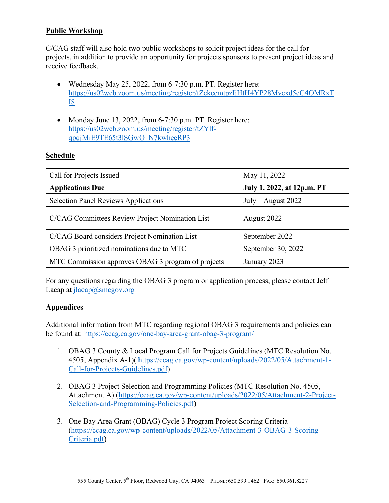## **Public Workshop**

C/CAG staff will also hold two public workshops to solicit project ideas for the call for projects, in addition to provide an opportunity for projects sponsors to present project ideas and receive feedback.

- Wednesday May 25, 2022, from 6-7:30 p.m. PT. Register here: https://us02web.zoom.us/meeting/register/tZckcemtpzIjHtH4YP28Mvcxd5eC4OMRxT I8
- Monday June 13, 2022, from  $6-7:30$  p.m. PT. Register here: https://us02web.zoom.us/meeting/register/tZYlfqpqjMiE9TE65t3lSGwO\_N7kwheeRP3

## **Schedule**

| Call for Projects Issued                           | May 11, 2022               |
|----------------------------------------------------|----------------------------|
| <b>Applications Due</b>                            | July 1, 2022, at 12p.m. PT |
| <b>Selection Panel Reviews Applications</b>        | July – August $2022$       |
| C/CAG Committees Review Project Nomination List    | August 2022                |
| C/CAG Board considers Project Nomination List      | September 2022             |
| OBAG 3 prioritized nominations due to MTC          | September 30, 2022         |
| MTC Commission approves OBAG 3 program of projects | January 2023               |

For any questions regarding the OBAG 3 program or application process, please contact Jeff Lacap at  $i$ lacap $@s$ mcgov.org

#### **Appendices**

Additional information from MTC regarding regional OBAG 3 requirements and policies can be found at: https://ccag.ca.gov/one-bay-area-grant-obag-3-program/

- 1. OBAG 3 County & Local Program Call for Projects Guidelines (MTC Resolution No. 4505, Appendix A-1)( https://ccag.ca.gov/wp-content/uploads/2022/05/Attachment-1- Call-for-Projects-Guidelines.pdf)
- 2. OBAG 3 Project Selection and Programming Policies (MTC Resolution No. 4505, Attachment A) (https://ccag.ca.gov/wp-content/uploads/2022/05/Attachment-2-Project-Selection-and-Programming-Policies.pdf)
- 3. One Bay Area Grant (OBAG) Cycle 3 Program Project Scoring Criteria (https://ccag.ca.gov/wp-content/uploads/2022/05/Attachment-3-OBAG-3-Scoring-Criteria.pdf)